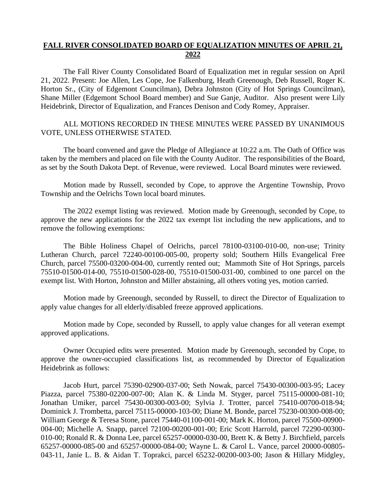# **FALL RIVER CONSOLIDATED BOARD OF EQUALIZATION MINUTES OF APRIL 21, 2022**

The Fall River County Consolidated Board of Equalization met in regular session on April 21, 2022. Present: Joe Allen, Les Cope, Joe Falkenburg, Heath Greenough, Deb Russell, Roger K. Horton Sr., (City of Edgemont Councilman), Debra Johnston (City of Hot Springs Councilman), Shane Miller (Edgemont School Board member) and Sue Ganje, Auditor. Also present were Lily Heidebrink, Director of Equalization, and Frances Denison and Cody Romey, Appraiser.

## ALL MOTIONS RECORDED IN THESE MINUTES WERE PASSED BY UNANIMOUS VOTE, UNLESS OTHERWISE STATED.

The board convened and gave the Pledge of Allegiance at 10:22 a.m. The Oath of Office was taken by the members and placed on file with the County Auditor. The responsibilities of the Board, as set by the South Dakota Dept. of Revenue, were reviewed. Local Board minutes were reviewed.

Motion made by Russell, seconded by Cope, to approve the Argentine Township, Provo Township and the Oelrichs Town local board minutes.

The 2022 exempt listing was reviewed. Motion made by Greenough, seconded by Cope, to approve the new applications for the 2022 tax exempt list including the new applications, and to remove the following exemptions:

The Bible Holiness Chapel of Oelrichs, parcel 78100-03100-010-00, non-use; Trinity Lutheran Church, parcel 72240-00100-005-00, property sold; Southern Hills Evangelical Free Church, parcel 75500-03200-004-00, currently rented out; Mammoth Site of Hot Springs, parcels 75510-01500-014-00, 75510-01500-028-00, 75510-01500-031-00, combined to one parcel on the exempt list. With Horton, Johnston and Miller abstaining, all others voting yes, motion carried.

Motion made by Greenough, seconded by Russell, to direct the Director of Equalization to apply value changes for all elderly/disabled freeze approved applications.

Motion made by Cope, seconded by Russell, to apply value changes for all veteran exempt approved applications.

Owner Occupied edits were presented. Motion made by Greenough, seconded by Cope, to approve the owner-occupied classifications list, as recommended by Director of Equalization Heidebrink as follows:

Jacob Hurt, parcel 75390-02900-037-00; Seth Nowak, parcel 75430-00300-003-95; Lacey Piazza, parcel 75380-02200-007-00; Alan K. & Linda M. Styger, parcel 75115-00000-081-10; Jonathan Umiker, parcel 75430-00300-003-00; Sylvia J. Trotter, parcel 75410-00700-018-94; Dominick J. Trombetta, parcel 75115-00000-103-00; Diane M. Bonde, parcel 75230-00300-008-00; William George & Teresa Stone, parcel 75440-01100-001-00; Mark K. Horton, parcel 75500-00900- 004-00; Michelle A. Snapp, parcel 72100-00200-001-00; Eric Scott Harrold, parcel 72290-00300- 010-00; Ronald R. & Donna Lee, parcel 65257-00000-030-00, Brett K. & Betty J. Birchfield, parcels 65257-00000-085-00 and 65257-00000-084-00; Wayne L. & Carol L. Vance, parcel 20000-00805- 043-11, Janie L. B. & Aidan T. Toprakci, parcel 65232-00200-003-00; Jason & Hillary Midgley,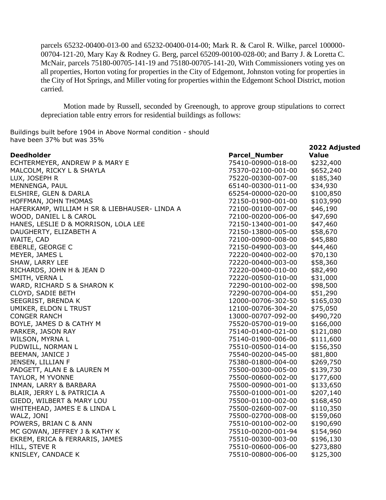parcels 65232-00400-013-00 and 65232-00400-014-00; Mark R. & Carol R. Wilke, parcel 100000- 00704-121-20, Mary Kay & Rodney G. Berg, parcel 65209-00100-028-00; and Barry J. & Loretta C. McNair, parcels 75180-00705-141-19 and 75180-00705-141-20, With Commissioners voting yes on all properties, Horton voting for properties in the City of Edgemont, Johnston voting for properties in the City of Hot Springs, and Miller voting for properties within the Edgemont School District, motion carried.

Motion made by Russell, seconded by Greenough, to approve group stipulations to correct depreciation table entry errors for residential buildings as follows:

Buildings built before 1904 in Above Normal condition - should have been 37% but was 35%

|                                               |                      | 2022 Adjusted |
|-----------------------------------------------|----------------------|---------------|
| <b>Deedholder</b>                             | <b>Parcel_Number</b> | <b>Value</b>  |
| ECHTERMEYER, ANDREW P & MARY E                | 75410-00900-018-00   | \$232,400     |
| MALCOLM, RICKY L & SHAYLA                     | 75370-02100-001-00   | \$652,240     |
| LUX, JOSEPH R                                 | 75220-00300-007-00   | \$185,340     |
| MENNENGA, PAUL                                | 65140-00300-011-00   | \$34,930      |
| ELSHIRE, GLEN & DARLA                         | 65254-00000-020-00   | \$100,850     |
| HOFFMAN, JOHN THOMAS                          | 72150-01900-001-00   | \$103,990     |
| HAFERKAMP, WILLIAM H SR & LIEBHAUSER- LINDA A | 72100-00100-007-00   | \$46,190      |
| WOOD, DANIEL L & CAROL                        | 72100-00200-006-00   | \$47,690      |
| HANES, LESLIE D & MORRISON, LOLA LEE          | 72150-13400-001-00   | \$47,460      |
| DAUGHERTY, ELIZABETH A                        | 72150-13800-005-00   | \$58,670      |
| WAITE, CAD                                    | 72100-00900-008-00   | \$45,880      |
| EBERLE, GEORGE C                              | 72150-04900-003-00   | \$44,460      |
| MEYER, JAMES L                                | 72220-00400-002-00   | \$70,130      |
| SHAW, LARRY LEE                               | 72220-00400-003-00   | \$58,360      |
| RICHARDS, JOHN H & JEAN D                     | 72220-00400-010-00   | \$82,490      |
| SMITH, VERNA L                                | 72220-00500-010-00   | \$31,000      |
| WARD, RICHARD S & SHARON K                    | 72290-00100-002-00   | \$98,500      |
| CLOYD, SADIE BETH                             | 72290-00700-004-00   | \$51,290      |
| SEEGRIST, BRENDA K                            | 12000-00706-302-50   | \$165,030     |
| UMIKER, ELDON L TRUST                         | 12100-00706-304-20   | \$75,050      |
| <b>CONGER RANCH</b>                           | 13000-00707-092-00   | \$490,720     |
| BOYLE, JAMES D & CATHY M                      | 75520-05700-019-00   | \$166,000     |
| PARKER, JASON RAY                             | 75140-01400-021-00   | \$121,080     |
| WILSON, MYRNA L                               | 75140-01900-006-00   | \$111,600     |
| PUDWILL, NORMAN L                             | 75510-00500-014-00   | \$156,350     |
| BEEMAN, JANICE J                              | 75540-00200-045-00   | \$81,800      |
| JENSEN, LILLIAN F                             | 75380-01800-004-00   | \$269,750     |
| PADGETT, ALAN E & LAUREN M                    | 75500-00300-005-00   | \$139,730     |
| TAYLOR, M YVONNE                              | 75500-00600-002-00   | \$177,600     |
| INMAN, LARRY & BARBARA                        | 75500-00900-001-00   | \$133,650     |
| BLAIR, JERRY L & PATRICIA A                   | 75500-01000-001-00   | \$207,140     |
| GIEDD, WILBERT & MARY LOU                     | 75500-01100-002-00   | \$168,450     |
| WHITEHEAD, JAMES E & LINDA L                  | 75500-02600-007-00   | \$110,350     |
| WALZ, JONI                                    | 75500-02700-008-00   | \$159,060     |
| POWERS, BRIAN C & ANN                         | 75510-00100-002-00   | \$190,690     |
| MC GOWAN, JEFFREY J & KATHY K                 | 75510-00200-001-94   | \$154,960     |
| EKREM, ERICA & FERRARIS, JAMES                | 75510-00300-003-00   | \$196,130     |
| HILL, STEVE R                                 | 75510-00600-006-00   | \$273,880     |
| KNISLEY, CANDACE K                            | 75510-00800-006-00   | \$125,300     |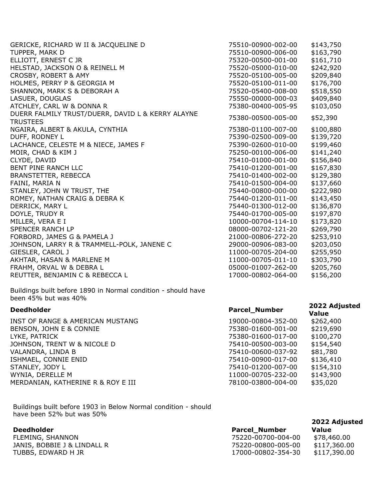| GERICKE, RICHARD W II & JACQUELINE D              | 75510-00900-002-00 | \$143,750 |
|---------------------------------------------------|--------------------|-----------|
| TUPPER, MARK D                                    | 75510-00900-006-00 | \$163,790 |
| ELLIOTT, ERNEST C JR                              | 75320-00500-001-00 | \$161,710 |
| HELSTAD, JACKSON O & REINELL M                    | 75520-05000-010-00 | \$242,920 |
| CROSBY, ROBERT & AMY                              | 75520-05100-005-00 | \$209,840 |
| HOLMES, PERRY P & GEORGIA M                       | 75520-05100-011-00 | \$176,700 |
| SHANNON, MARK S & DEBORAH A                       | 75520-05400-008-00 | \$518,550 |
| LASUER, DOUGLAS                                   | 75550-00000-000-03 | \$409,840 |
| ATCHLEY, CARL W & DONNA R                         | 75380-00400-005-95 | \$103,050 |
| DUERR FALMILY TRUST/DUERR, DAVID L & KERRY ALAYNE | 75380-00500-005-00 | \$52,390  |
| <b>TRUSTEES</b>                                   |                    |           |
| NGAIRA, ALBERT & AKULA, CYNTHIA                   | 75380-01100-007-00 | \$100,880 |
| DUFF, RODNEY L                                    | 75390-02500-009-00 | \$139,720 |
| LACHANCE, CELESTE M & NIECE, JAMES F              | 75390-02600-010-00 | \$199,460 |
| MOIR, CHAD & KIM J                                | 75250-00100-006-00 | \$141,240 |
| CLYDE, DAVID                                      | 75410-01000-001-00 | \$156,840 |
| BENT PINE RANCH LLC                               | 75410-01200-001-00 | \$167,830 |
| <b>BRANSTETTER, REBECCA</b>                       | 75410-01400-002-00 | \$129,380 |
| FAINI, MARIA N                                    | 75410-01500-004-00 | \$137,660 |
| STANLEY, JOHN W TRUST, THE                        | 75440-00800-000-00 | \$222,980 |
| ROMEY, NATHAN CRAIG & DEBRA K                     | 75440-01200-011-00 | \$143,450 |
| DERRICK, MARY L                                   | 75440-01300-012-00 | \$136,870 |
| DOYLE, TRUDY R                                    | 75440-01700-005-00 | \$197,870 |
| MILLER, VERA E I                                  | 10000-00704-114-10 | \$173,820 |
| <b>SPENCER RANCH LP</b>                           | 08000-00702-121-20 | \$269,790 |
| FORBORD, JAMES G & PAMELA J                       | 21000-00806-272-20 | \$253,910 |
| JOHNSON, LARRY R & TRAMMELL-POLK, JANENE C        | 29000-00906-083-00 | \$203,050 |
| GIESLER, CAROL J                                  | 11000-00705-204-00 | \$255,950 |
| AKHTAR, HASAN & MARLENE M                         | 11000-00705-011-10 | \$303,790 |
| FRAHM, ORVAL W & DEBRA L                          | 05000-01007-262-00 | \$205,760 |
| REUTTER, BENJAMIN C & REBECCA L                   | 17000-00802-064-00 | \$156,200 |
|                                                   |                    |           |

Buildings built before 1890 in Normal condition - should have been 45% but was 40%

Buildings built before 1903 in Below Normal condition - should have been 52% but was 50%

### **Deedholder**

FLEMING, SHANNON JANIS, BOBBIE J & LINDALL R TUBBS, EDWARD H JR

| <b>Deedholder</b>                  | <b>Parcel_Number</b> | 2022 Adjusted<br><b>Value</b> |
|------------------------------------|----------------------|-------------------------------|
| INST OF RANGE & AMERICAN MUSTANG   | 19000-00804-352-00   | \$262,400                     |
| BENSON, JOHN E & CONNIE            | 75380-01600-001-00   | \$219,690                     |
| LYKE, PATRICK                      | 75380-01600-017-00   | \$100,270                     |
| JOHNSON, TRENT W & NICOLE D        | 75410-00500-003-00   | \$154,540                     |
| VALANDRA, LINDA B                  | 75410-00600-037-92   | \$81,780                      |
| ISHMAEL, CONNIE ENID               | 75410-00900-017-00   | \$136,410                     |
| STANLEY, JODY L                    | 75410-01200-007-00   | \$154,310                     |
| WYNIA, DERELLE M                   | 11000-00705-232-00   | \$143,900                     |
| MERDANIAN, KATHERINE R & ROY E III | 78100-03800-004-00   | \$35,020                      |

|                      | 2022 Adjusted |
|----------------------|---------------|
| <b>Parcel_Number</b> | Value         |
| 75220-00700-004-00   | \$78,460.00   |
| 75220-00800-005-00   | \$117,360.00  |
| 17000-00802-354-30   | \$117,390.00  |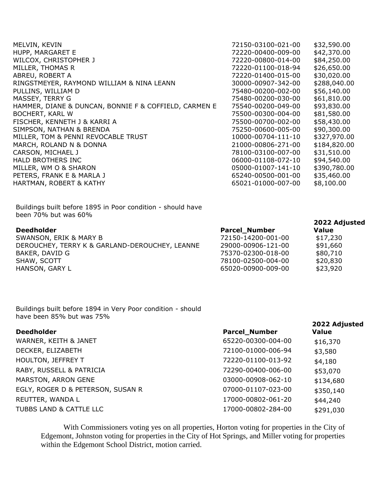| 72150-03100-021-00 | \$32,590.00  |
|--------------------|--------------|
| 72220-00400-009-00 | \$42,370.00  |
| 72220-00800-014-00 | \$84,250.00  |
| 72220-01100-018-94 | \$26,650.00  |
| 72220-01400-015-00 | \$30,020.00  |
| 30000-00907-342-00 | \$288,040.00 |
| 75480-00200-002-00 | \$56,140.00  |
| 75480-00200-030-00 | \$61,810.00  |
| 75540-00200-049-00 | \$93,830.00  |
| 75500-00300-004-00 | \$81,580.00  |
| 75500-00700-002-00 | \$58,430.00  |
| 75250-00600-005-00 | \$90,300.00  |
| 10000-00704-111-10 | \$327,970.00 |
| 21000-00806-271-00 | \$184,820.00 |
| 78100-03100-007-00 | \$31,510.00  |
| 06000-01108-072-10 | \$94,540.00  |
| 05000-01007-141-10 | \$390,780.00 |
| 65240-00500-001-00 | \$35,460.00  |
| 65021-01000-007-00 | \$8,100.00   |
|                    |              |

Buildings built before 1895 in Poor condition - should have been 70% but was 60%

## **Deedholder**

SWANSON, ERIK & MARY B DEROUCHEY, TERRY K & GARLAND-DEROUCHEY, LEANNE BAKER, DAVID G SHAW, SCOTT HANSON, GARY L

| Value    |
|----------|
| \$17,230 |
| \$91,660 |
| \$80,710 |
| \$20,830 |
| \$23,920 |
|          |

**2022 Adjusted** 

**2022 Adjusted** 

Buildings built before 1894 in Very Poor condition - should have been 85% but was 75%

| <b>Deedholder</b>                 | <b>Parcel_Number</b> | ZUZZ AUJUSTEU<br><b>Value</b> |
|-----------------------------------|----------------------|-------------------------------|
| WARNER, KEITH & JANET             | 65220-00300-004-00   | \$16,370                      |
| DECKER, ELIZABETH                 | 72100-01000-006-94   | \$3,580                       |
| HOULTON, JEFFREY T                | 72220-01100-013-92   | \$4,180                       |
| RABY, RUSSELL & PATRICIA          | 72290-00400-006-00   | \$53,070                      |
| MARSTON, ARRON GENE               | 03000-00908-062-10   | \$134,680                     |
| EGLY, ROGER D & PETERSON, SUSAN R | 07000-01107-023-00   | \$350,140                     |
| REUTTER, WANDA L                  | 17000-00802-061-20   | \$44,240                      |
| TUBBS LAND & CATTLE LLC           | 17000-00802-284-00   | \$291,030                     |

With Commissioners voting yes on all properties, Horton voting for properties in the City of Edgemont, Johnston voting for properties in the City of Hot Springs, and Miller voting for properties within the Edgemont School District, motion carried.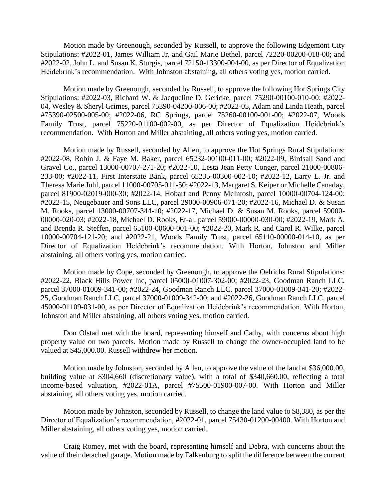Motion made by Greenough, seconded by Russell, to approve the following Edgemont City Stipulations: #2022-01, James William Jr. and Gail Marie Bethel, parcel 72220-00200-018-00; and #2022-02, John L. and Susan K. Sturgis, parcel 72150-13300-004-00, as per Director of Equalization Heidebrink's recommendation. With Johnston abstaining, all others voting yes, motion carried.

Motion made by Greenough, seconded by Russell, to approve the following Hot Springs City Stipulations: #2022-03, Richard W. & Jacqueline D. Gericke, parcel 75290-00100-010-00; #2022- 04, Wesley & Sheryl Grimes, parcel 75390-04200-006-00; #2022-05, Adam and Linda Heath, parcel #75390-02500-005-00; #2022-06, RC Springs, parcel 75260-00100-001-00; #2022-07, Woods Family Trust, parcel 75220-01100-002-00, as per Director of Equalization Heidebrink's recommendation. With Horton and Miller abstaining, all others voting yes, motion carried.

Motion made by Russell, seconded by Allen, to approve the Hot Springs Rural Stipulations: #2022-08, Robin J. & Faye M. Baker, parcel 65232-00100-011-00; #2022-09, Birdsall Sand and Gravel Co., parcel 13000-00707-271-20; #2022-10, Lesta Jean Petty Conger, parcel 21000-00806- 233-00; #2022-11, First Interstate Bank, parcel 65235-00300-002-10; #2022-12, Larry L. Jr. and Theresa Marie Juhl, parcel 11000-00705-011-50; #2022-13, Margaret S. Keiper or Michelle Canaday, parcel 81900-02019-000-30; #2022-14, Hobart and Penny McIntosh, parcel 10000-00704-124-00; #2022-15, Neugebauer and Sons LLC, parcel 29000-00906-071-20; #2022-16, Michael D. & Susan M. Rooks, parcel 13000-00707-344-10; #2022-17, Michael D. & Susan M. Rooks, parcel 59000- 00000-020-03; #2022-18, Michael D. Rooks, Et-al, parcel 59000-00000-030-00; #2022-19, Mark A. and Brenda R. Steffen, parcel 65100-00600-001-00; #2022-20, Mark R. and Carol R. Wilke, parcel 10000-00704-121-20; and #2022-21, Woods Family Trust, parcel 65110-00000-014-10, as per Director of Equalization Heidebrink's recommendation. With Horton, Johnston and Miller abstaining, all others voting yes, motion carried.

Motion made by Cope, seconded by Greenough, to approve the Oelrichs Rural Stipulations: #2022-22, Black Hills Power Inc, parcel 05000-01007-302-00; #2022-23, Goodman Ranch LLC, parcel 37000-01009-341-00; #2022-24, Goodman Ranch LLC, parcel 37000-01009-341-20; #2022- 25, Goodman Ranch LLC, parcel 37000-01009-342-00; and #2022-26, Goodman Ranch LLC, parcel 45000-01109-031-00, as per Director of Equalization Heidebrink's recommendation. With Horton, Johnston and Miller abstaining, all others voting yes, motion carried.

Don Olstad met with the board, representing himself and Cathy, with concerns about high property value on two parcels. Motion made by Russell to change the owner-occupied land to be valued at \$45,000.00. Russell withdrew her motion.

Motion made by Johnston, seconded by Allen, to approve the value of the land at \$36,000.00, building value at \$304,660 (discretionary value), with a total of \$340,660.00, reflecting a total income-based valuation, #2022-01A, parcel #75500-01900-007-00. With Horton and Miller abstaining, all others voting yes, motion carried.

Motion made by Johnston, seconded by Russell, to change the land value to \$8,380, as per the Director of Equalization's recommendation, #2022-01, parcel 75430-01200-00400. With Horton and Miller abstaining, all others voting yes, motion carried.

Craig Romey, met with the board, representing himself and Debra, with concerns about the value of their detached garage. Motion made by Falkenburg to split the difference between the current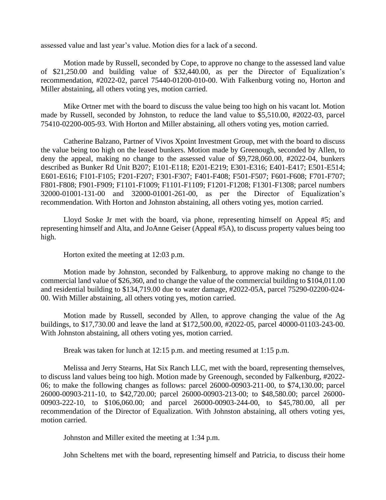assessed value and last year's value. Motion dies for a lack of a second.

Motion made by Russell, seconded by Cope, to approve no change to the assessed land value of \$21,250.00 and building value of \$32,440.00, as per the Director of Equalization's recommendation, #2022-02, parcel 75440-01200-010-00. With Falkenburg voting no, Horton and Miller abstaining, all others voting yes, motion carried.

Mike Ortner met with the board to discuss the value being too high on his vacant lot. Motion made by Russell, seconded by Johnston, to reduce the land value to \$5,510.00, #2022-03, parcel 75410-02200-005-93. With Horton and Miller abstaining, all others voting yes, motion carried.

Catherine Balzano, Partner of Vivos Xpoint Investment Group, met with the board to discuss the value being too high on the leased bunkers. Motion made by Greenough, seconded by Allen, to deny the appeal, making no change to the assessed value of \$9,728,060.00, #2022-04, bunkers described as Bunker Rd Unit B207; E101-E118; E201-E219; E301-E316; E401-E417; E501-E514; E601-E616; F101-F105; F201-F207; F301-F307; F401-F408; F501-F507; F601-F608; F701-F707; F801-F808; F901-F909; F1101-F1009; F1101-F1109; F1201-F1208; F1301-F1308; parcel numbers 32000-01001-131-00 and 32000-01001-261-00, as per the Director of Equalization's recommendation. With Horton and Johnston abstaining, all others voting yes, motion carried.

Lloyd Soske Jr met with the board, via phone, representing himself on Appeal #5; and representing himself and Alta, and JoAnne Geiser (Appeal #5A), to discuss property values being too high.

Horton exited the meeting at 12:03 p.m.

Motion made by Johnston, seconded by Falkenburg, to approve making no change to the commercial land value of \$26,360, and to change the value of the commercial building to \$104,011.00 and residential building to \$134,719.00 due to water damage, #2022-05A, parcel 75290-02200-024- 00. With Miller abstaining, all others voting yes, motion carried.

Motion made by Russell, seconded by Allen, to approve changing the value of the Ag buildings, to \$17,730.00 and leave the land at \$172,500.00, #2022-05, parcel 40000-01103-243-00. With Johnston abstaining, all others voting yes, motion carried.

Break was taken for lunch at 12:15 p.m. and meeting resumed at 1:15 p.m.

Melissa and Jerry Stearns, Hat Six Ranch LLC, met with the board, representing themselves, to discuss land values being too high. Motion made by Greenough, seconded by Falkenburg, #2022- 06; to make the following changes as follows: parcel 26000-00903-211-00, to \$74,130.00; parcel 26000-00903-211-10, to \$42,720.00; parcel 26000-00903-213-00; to \$48,580.00; parcel 26000- 00903-222-10, to \$106,060.00; and parcel 26000-00903-244-00, to \$45,780.00, all per recommendation of the Director of Equalization. With Johnston abstaining, all others voting yes, motion carried.

Johnston and Miller exited the meeting at 1:34 p.m.

John Scheltens met with the board, representing himself and Patricia, to discuss their home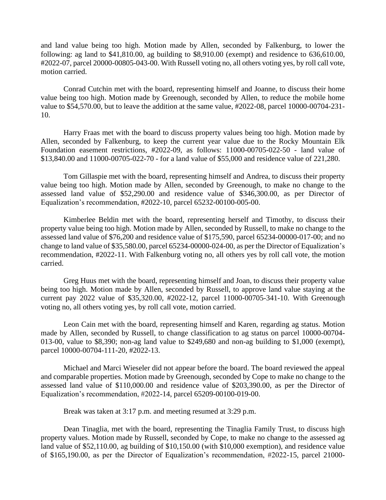and land value being too high. Motion made by Allen, seconded by Falkenburg, to lower the following: ag land to \$41,810.00, ag building to \$8,910.00 (exempt) and residence to 636,610.00, #2022-07, parcel 20000-00805-043-00. With Russell voting no, all others voting yes, by roll call vote, motion carried.

Conrad Cutchin met with the board, representing himself and Joanne, to discuss their home value being too high. Motion made by Greenough, seconded by Allen, to reduce the mobile home value to \$54,570.00, but to leave the addition at the same value, #2022-08, parcel 10000-00704-231- 10.

Harry Fraas met with the board to discuss property values being too high. Motion made by Allen, seconded by Falkenburg, to keep the current year value due to the Rocky Mountain Elk Foundation easement restrictions, #2022-09, as follows: 11000-00705-022-50 - land value of \$13,840.00 and 11000-00705-022-70 - for a land value of \$55,000 and residence value of 221,280.

Tom Gillaspie met with the board, representing himself and Andrea, to discuss their property value being too high. Motion made by Allen, seconded by Greenough, to make no change to the assessed land value of \$52,290.00 and residence value of \$346,300.00, as per Director of Equalization's recommendation, #2022-10, parcel 65232-00100-005-00.

Kimberlee Beldin met with the board, representing herself and Timothy, to discuss their property value being too high. Motion made by Allen, seconded by Russell, to make no change to the assessed land value of \$76,200 and residence value of \$175,590, parcel 65234-00000-017-00; and no change to land value of \$35,580.00, parcel 65234-00000-024-00, as per the Director of Equalization's recommendation, #2022-11. With Falkenburg voting no, all others yes by roll call vote, the motion carried.

Greg Huus met with the board, representing himself and Joan, to discuss their property value being too high. Motion made by Allen, seconded by Russell, to approve land value staying at the current pay 2022 value of \$35,320.00, #2022-12, parcel 11000-00705-341-10. With Greenough voting no, all others voting yes, by roll call vote, motion carried.

Leon Cain met with the board, representing himself and Karen, regarding ag status. Motion made by Allen, seconded by Russell, to change classification to ag status on parcel 10000-00704- 013-00, value to \$8,390; non-ag land value to \$249,680 and non-ag building to \$1,000 (exempt), parcel 10000-00704-111-20, #2022-13.

Michael and Marci Wieseler did not appear before the board. The board reviewed the appeal and comparable properties. Motion made by Greenough, seconded by Cope to make no change to the assessed land value of \$110,000.00 and residence value of \$203,390.00, as per the Director of Equalization's recommendation, #2022-14, parcel 65209-00100-019-00.

Break was taken at 3:17 p.m. and meeting resumed at 3:29 p.m.

Dean Tinaglia, met with the board, representing the Tinaglia Family Trust, to discuss high property values. Motion made by Russell, seconded by Cope, to make no change to the assessed ag land value of \$52,110.00, ag building of \$10,150.00 (with \$10,000 exemption), and residence value of \$165,190.00, as per the Director of Equalization's recommendation, #2022-15, parcel 21000